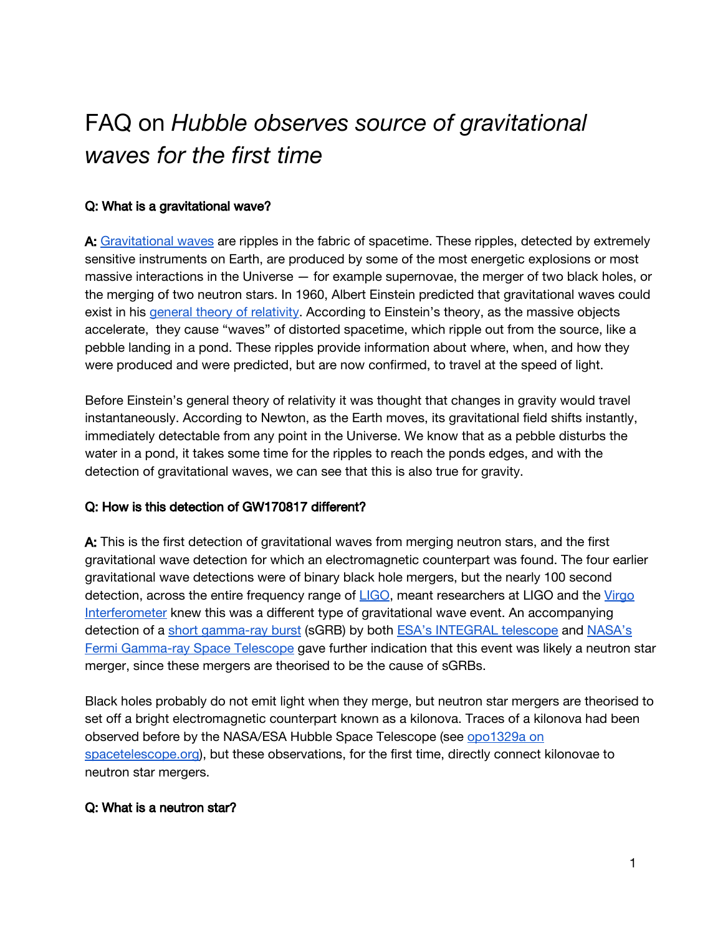# FAQ on *Hubble observes source of gravitational waves for the first time*

## Q: What is a gravitational wave?

A: [Gravitational](https://en.wikipedia.org/wiki/Gravitational_wave) waves are ripples in the fabric of spacetime. These ripples, detected by extremely sensitive instruments on Earth, are produced by some of the most energetic explosions or most massive interactions in the Universe — for example supernovae, the merger of two black holes, or the merging of two neutron stars. In 1960, Albert Einstein predicted that gravitational waves could exist in his general theory of [relativity.](https://en.wikipedia.org/wiki/General_relativity) According to Einstein's theory, as the massive objects accelerate, they cause "waves" of distorted spacetime, which ripple out from the source, like a pebble landing in a pond. These ripples provide information about where, when, and how they were produced and were predicted, but are now confirmed, to travel at the speed of light.

Before Einstein's general theory of relativity it was thought that changes in gravity would travel instantaneously. According to Newton, as the Earth moves, its gravitational field shifts instantly, immediately detectable from any point in the Universe. We know that as a pebble disturbs the water in a pond, it takes some time for the ripples to reach the ponds edges, and with the detection of gravitational waves, we can see that this is also true for gravity.

### Q: How is this detection of GW170817 different?

A: This is the first detection of gravitational waves from merging neutron stars, and the first gravitational wave detection for which an electromagnetic counterpart was found. The four earlier gravitational wave detections were of binary black hole mergers, but the nearly 100 second detection, across the entire frequency range of [LIGO](https://www.ligo.caltech.edu/), meant researchers at LIGO and the [Virgo](https://www.ego-gw.it/public/about/whatIs.aspx) [Interferometer](https://www.ego-gw.it/public/about/whatIs.aspx) knew this was a different type of gravitational wave event. An accompanying detection of a short [gamma-ray](https://en.wikipedia.org/wiki/Gamma-ray_burst#Short_gamma-ray_bursts) burst (sGRB) by both ESA's [INTEGRAL](http://sci.esa.int/integral/) telescope and [NASA's](https://fermi.gsfc.nasa.gov/) Fermi [Gamma-ray](https://fermi.gsfc.nasa.gov/) Space Telescope gave further indication that this event was likely a neutron star merger, since these mergers are theorised to be the cause of sGRBs.

Black holes probably do not emit light when they merge, but neutron star mergers are theorised to set off a bright electromagnetic counterpart known as a kilonova. Traces of a kilonova had been observed before by the NASA/ESA Hubble Space Telescope (see [opo1329a](https://www.spacetelescope.org/images/opo1329a/) on [spacetelescope.org\)](https://www.spacetelescope.org/images/opo1329a/), but these observations, for the first time, directly connect kilonovae to neutron star mergers.

# Q: What is a neutron star?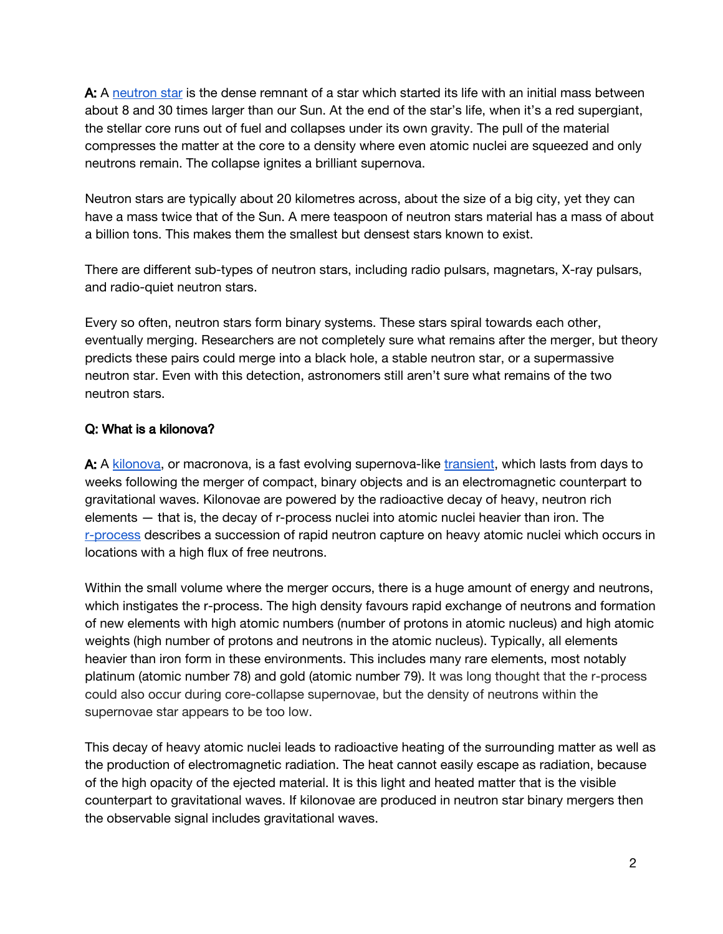A: A [neutron](https://en.wikipedia.org/wiki/Neutron_star) star is the dense remnant of a star which started its life with an initial mass between about 8 and 30 times larger than our Sun. At the end of the star's life, when it's a red supergiant, the stellar core runs out of fuel and collapses under its own gravity. The pull of the material compresses the matter at the core to a density where even atomic nuclei are squeezed and only neutrons remain. The collapse ignites a brilliant supernova.

Neutron stars are typically about 20 kilometres across, about the size of a big city, yet they can have a mass twice that of the Sun. A mere teaspoon of neutron stars material has a mass of about a billion tons. This makes them the smallest but densest stars known to exist.

There are different sub-types of neutron stars, including radio pulsars, magnetars, X-ray pulsars, and radio-quiet neutron stars.

Every so often, neutron stars form binary systems. These stars spiral towards each other, eventually merging. Researchers are not completely sure what remains after the merger, but theory predicts these pairs could merge into a black hole, a stable neutron star, or a supermassive neutron star. Even with this detection, astronomers still aren't sure what remains of the two neutron stars.

# Q: What is a kilonova?

A: A [kilonova](https://en.wikipedia.org/wiki/Kilonova), or macronova, is a fast evolving supernova-like [transient,](https://en.wikipedia.org/wiki/Transient_astronomical_event) which lasts from days to weeks following the merger of compact, binary objects and is an electromagnetic counterpart to gravitational waves. Kilonovae are powered by the radioactive decay of heavy, neutron rich elements — that is, the decay of r-process nuclei into atomic nuclei heavier than iron. The [r-process](https://en.wikipedia.org/wiki/R-process) describes a succession of rapid neutron capture on heavy atomic nuclei which occurs in locations with a high flux of free neutrons.

Within the small volume where the merger occurs, there is a huge amount of energy and neutrons, which instigates the r-process. The high density favours rapid exchange of neutrons and formation of new elements with high atomic numbers (number of protons in atomic nucleus) and high atomic weights (high number of protons and neutrons in the atomic nucleus). Typically, all elements heavier than iron form in these environments. This includes many rare elements, most notably platinum (atomic number 78) and gold (atomic number 79). It was long thought that the r-process could also occur during core-collapse supernovae, but the density of neutrons within the supernovae star appears to be too low.

This decay of heavy atomic nuclei leads to radioactive heating of the surrounding matter as well as the production of electromagnetic radiation. The heat cannot easily escape as radiation, because of the high opacity of the ejected material. It is this light and heated matter that is the visible counterpart to gravitational waves. If kilonovae are produced in neutron star binary mergers then the observable signal includes gravitational waves.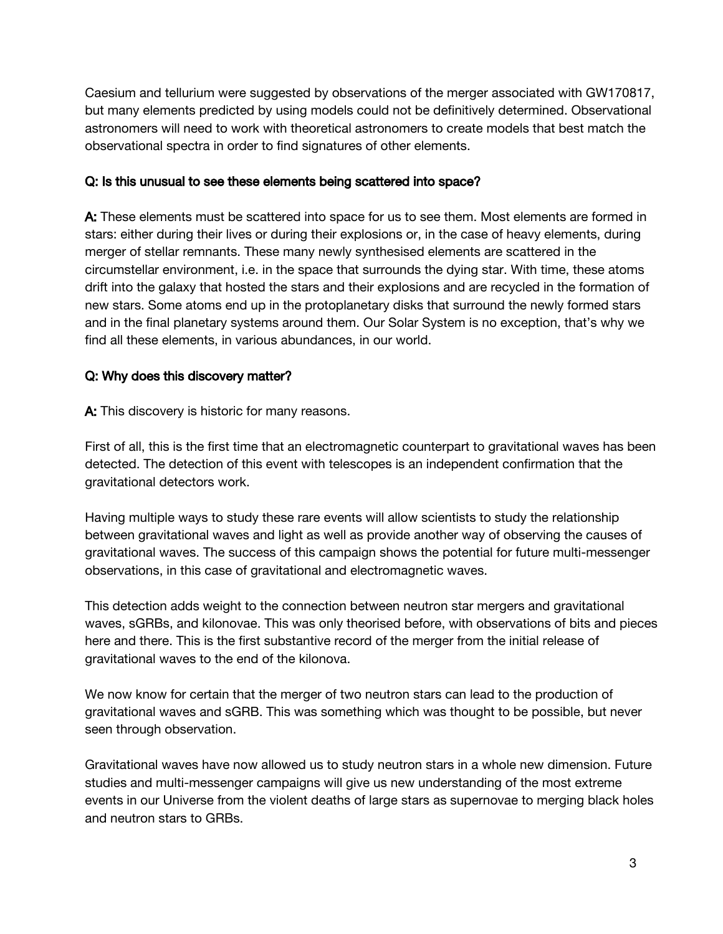Caesium and tellurium were suggested by observations of the merger associated with GW170817, but many elements predicted by using models could not be definitively determined. Observational astronomers will need to work with theoretical astronomers to create models that best match the observational spectra in order to find signatures of other elements.

### Q: Is this unusual to see these elements being scattered into space?

A: These elements must be scattered into space for us to see them. Most elements are formed in stars: either during their lives or during their explosions or, in the case of heavy elements, during merger of stellar remnants. These many newly synthesised elements are scattered in the circumstellar environment, i.e. in the space that surrounds the dying star. With time, these atoms drift into the galaxy that hosted the stars and their explosions and are recycled in the formation of new stars. Some atoms end up in the protoplanetary disks that surround the newly formed stars and in the final planetary systems around them. Our Solar System is no exception, that's why we find all these elements, in various abundances, in our world.

# Q: Why does this discovery matter?

A: This discovery is historic for many reasons.

First of all, this is the first time that an electromagnetic counterpart to gravitational waves has been detected. The detection of this event with telescopes is an independent confirmation that the gravitational detectors work.

Having multiple ways to study these rare events will allow scientists to study the relationship between gravitational waves and light as well as provide another way of observing the causes of gravitational waves. The success of this campaign shows the potential for future multi-messenger observations, in this case of gravitational and electromagnetic waves.

This detection adds weight to the connection between neutron star mergers and gravitational waves, sGRBs, and kilonovae. This was only theorised before, with observations of bits and pieces here and there. This is the first substantive record of the merger from the initial release of gravitational waves to the end of the kilonova.

We now know for certain that the merger of two neutron stars can lead to the production of gravitational waves and sGRB. This was something which was thought to be possible, but never seen through observation.

Gravitational waves have now allowed us to study neutron stars in a whole new dimension. Future studies and multi-messenger campaigns will give us new understanding of the most extreme events in our Universe from the violent deaths of large stars as supernovae to merging black holes and neutron stars to GRBs.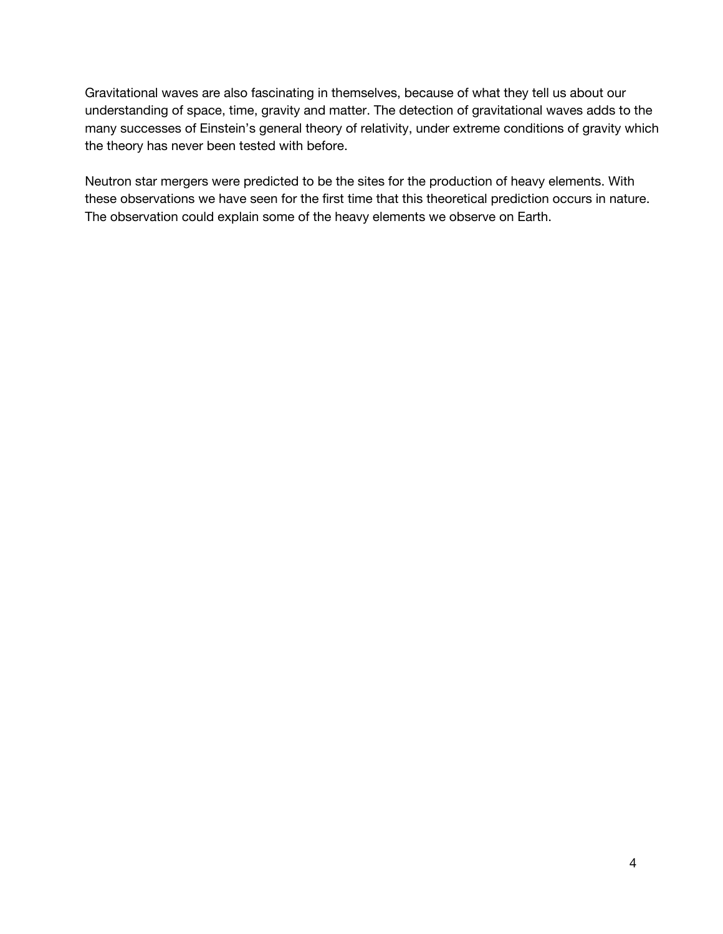Gravitational waves are also fascinating in themselves, because of what they tell us about our understanding of space, time, gravity and matter. The detection of gravitational waves adds to the many successes of Einstein's general theory of relativity, under extreme conditions of gravity which the theory has never been tested with before.

Neutron star mergers were predicted to be the sites for the production of heavy elements. With these observations we have seen for the first time that this theoretical prediction occurs in nature. The observation could explain some of the heavy elements we observe on Earth.